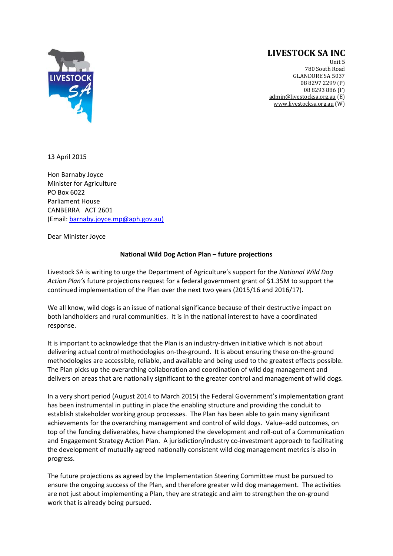## **LIVESTOCK SA INC**



Unit 5 780 South Road **GLANDORE SA 5037** 08 8297 2299 (P) 08 8293 886 (F) admin@livestocksa.org.au (E) www.livestocksa.org.au (W)

13 April 2015

Hon Barnaby Joyce Minister for Agriculture PO Box 6022 Parliament House CANBERRA ACT 2601 (Email: barnaby.joyce.mp@aph.gov.au)

Dear Minister Joyce

## **National Wild Dog Action Plan – future projections**

Livestock SA is writing to urge the Department of Agriculture's support for the *National Wild Dog Action Plan's* future projections request for a federal government grant of \$1.35M to support the continued implementation of the Plan over the next two years (2015/16 and 2016/17).

We all know, wild dogs is an issue of national significance because of their destructive impact on both landholders and rural communities. It is in the national interest to have a coordinated response.

It is important to acknowledge that the Plan is an industry‐driven initiative which is not about delivering actual control methodologies on‐the‐ground. It is about ensuring these on‐the‐ground methodologies are accessible, reliable, and available and being used to the greatest effects possible. The Plan picks up the overarching collaboration and coordination of wild dog management and delivers on areas that are nationally significant to the greater control and management of wild dogs.

In a very short period (August 2014 to March 2015) the Federal Government's implementation grant has been instrumental in putting in place the enabling structure and providing the conduit to establish stakeholder working group processes. The Plan has been able to gain many significant achievements for the overarching management and control of wild dogs. Value–add outcomes, on top of the funding deliverables, have championed the development and roll-out of a Communication and Engagement Strategy Action Plan. A jurisdiction/industry co-investment approach to facilitating the development of mutually agreed nationally consistent wild dog management metrics is also in progress.

The future projections as agreed by the Implementation Steering Committee must be pursued to ensure the ongoing success of the Plan, and therefore greater wild dog management. The activities are not just about implementing a Plan, they are strategic and aim to strengthen the on‐ground work that is already being pursued.